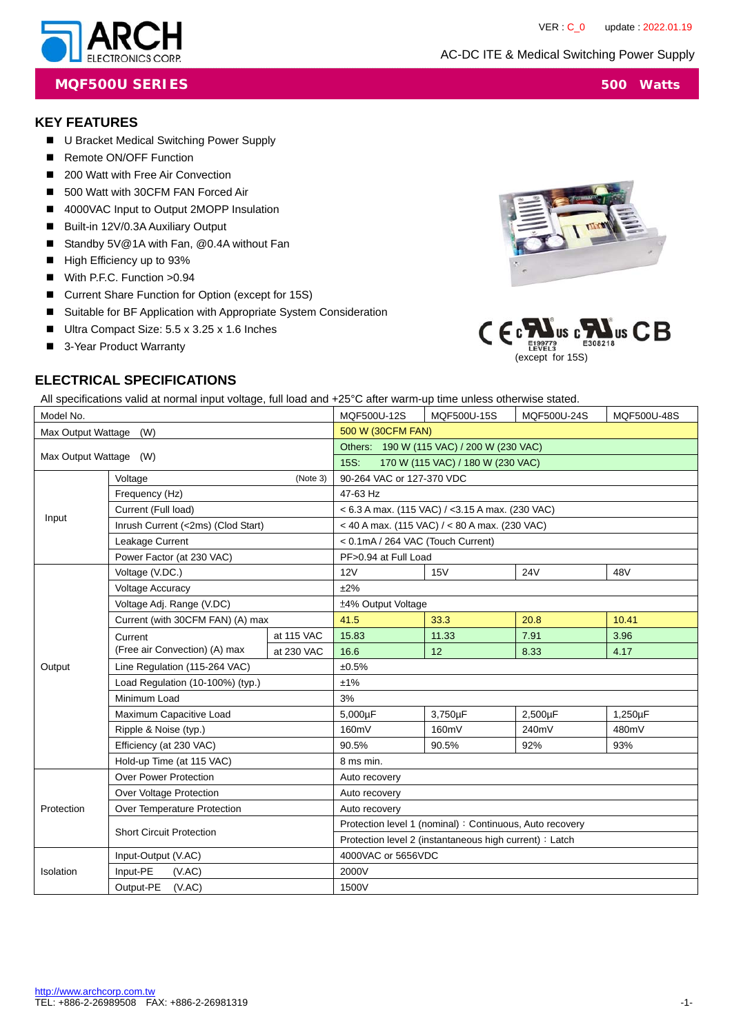

**MQF500U SERIES** 500 Watts

## **KEY FEATURES**

- U Bracket Medical Switching Power Supply
- Remote ON/OFF Function
- 200 Watt with Free Air Convection
- 500 Watt with 30CFM FAN Forced Air
- 4000VAC Input to Output 2MOPP Insulation
- Built-in 12V/0.3A Auxiliary Output
- Standby 5V@1A with Fan, @0.4A without Fan
- High Efficiency up to 93%
- With P.F.C. Function >0.94
- Current Share Function for Option (except for 15S)
- Suitable for BF Application with Appropriate System Consideration
- Ultra Compact Size: 5.5 x 3.25 x 1.6 Inches
- 3-Year Product Warranty





## **ELECTRICAL SPECIFICATIONS**

All specifications valid at normal input voltage, full load and +25°C after warm-up time unless otherwise stated.

| Model No.              |                                       |                                                         | MQF500U-12S                                              | MQF500U-15S                                          | MQF500U-24S | MQF500U-48S |  |
|------------------------|---------------------------------------|---------------------------------------------------------|----------------------------------------------------------|------------------------------------------------------|-------------|-------------|--|
| Max Output Wattage     | (W)                                   |                                                         | 500 W (30CFM FAN)                                        |                                                      |             |             |  |
|                        |                                       |                                                         | Others: 190 W (115 VAC) / 200 W (230 VAC)                |                                                      |             |             |  |
| Max Output Wattage (W) |                                       |                                                         | $15S$ :<br>170 W (115 VAC) / 180 W (230 VAC)             |                                                      |             |             |  |
| Voltage<br>(Note 3)    |                                       |                                                         | 90-264 VAC or 127-370 VDC                                |                                                      |             |             |  |
|                        | Frequency (Hz)<br>Current (Full load) |                                                         | 47-63 Hz                                                 |                                                      |             |             |  |
| Input                  |                                       |                                                         |                                                          | $<$ 6.3 A max. (115 VAC) / $<$ 3.15 A max. (230 VAC) |             |             |  |
|                        | Inrush Current (<2ms) (Clod Start)    |                                                         |                                                          | < 40 A max. (115 VAC) / < 80 A max. (230 VAC)        |             |             |  |
|                        | Leakage Current                       |                                                         | < 0.1mA / 264 VAC (Touch Current)                        |                                                      |             |             |  |
|                        | Power Factor (at 230 VAC)             |                                                         | PF>0.94 at Full Load                                     |                                                      |             |             |  |
|                        | Voltage (V.DC.)                       |                                                         | 12V                                                      | 15V                                                  | 24V         | 48V         |  |
|                        | Voltage Accuracy                      |                                                         | ±2%                                                      |                                                      |             |             |  |
|                        | Voltage Adj. Range (V.DC)             |                                                         | ±4% Output Voltage                                       |                                                      |             |             |  |
|                        | Current (with 30CFM FAN) (A) max      | 41.5                                                    | 33.3                                                     | 20.8                                                 | 10.41       |             |  |
|                        | Current                               | at 115 VAC                                              | 15.83                                                    | 11.33                                                | 7.91        | 3.96        |  |
|                        | (Free air Convection) (A) max         | at 230 VAC                                              | 16.6                                                     | 12                                                   | 8.33        | 4.17        |  |
| Output                 | Line Regulation (115-264 VAC)         |                                                         | ±0.5%                                                    |                                                      |             |             |  |
|                        | Load Regulation (10-100%) (typ.)      |                                                         | ±1%                                                      |                                                      |             |             |  |
|                        | Minimum Load                          |                                                         | 3%                                                       |                                                      |             |             |  |
|                        | Maximum Capacitive Load               |                                                         | 5,000µF                                                  | 3,750µF                                              | 2,500µF     | 1,250µF     |  |
|                        | Ripple & Noise (typ.)                 |                                                         | 160mV                                                    | 160mV                                                | 240mV       | 480mV       |  |
|                        | Efficiency (at 230 VAC)               |                                                         | 90.5%                                                    | 90.5%                                                | 92%         | 93%         |  |
|                        | Hold-up Time (at 115 VAC)             |                                                         | 8 ms min.                                                |                                                      |             |             |  |
|                        | <b>Over Power Protection</b>          |                                                         | Auto recovery                                            |                                                      |             |             |  |
|                        | Over Voltage Protection               |                                                         | Auto recovery                                            |                                                      |             |             |  |
| Protection             | Over Temperature Protection           |                                                         | Auto recovery                                            |                                                      |             |             |  |
|                        | <b>Short Circuit Protection</b>       |                                                         | Protection level 1 (nominal) : Continuous, Auto recovery |                                                      |             |             |  |
|                        |                                       | Protection level 2 (instantaneous high current) : Latch |                                                          |                                                      |             |             |  |
|                        | Input-Output (V.AC)                   |                                                         | 4000VAC or 5656VDC                                       |                                                      |             |             |  |
| Isolation              | Input-PE<br>(VAC)                     |                                                         | 2000V                                                    |                                                      |             |             |  |
|                        | Output-PE<br>(VAC)                    |                                                         | 1500V                                                    |                                                      |             |             |  |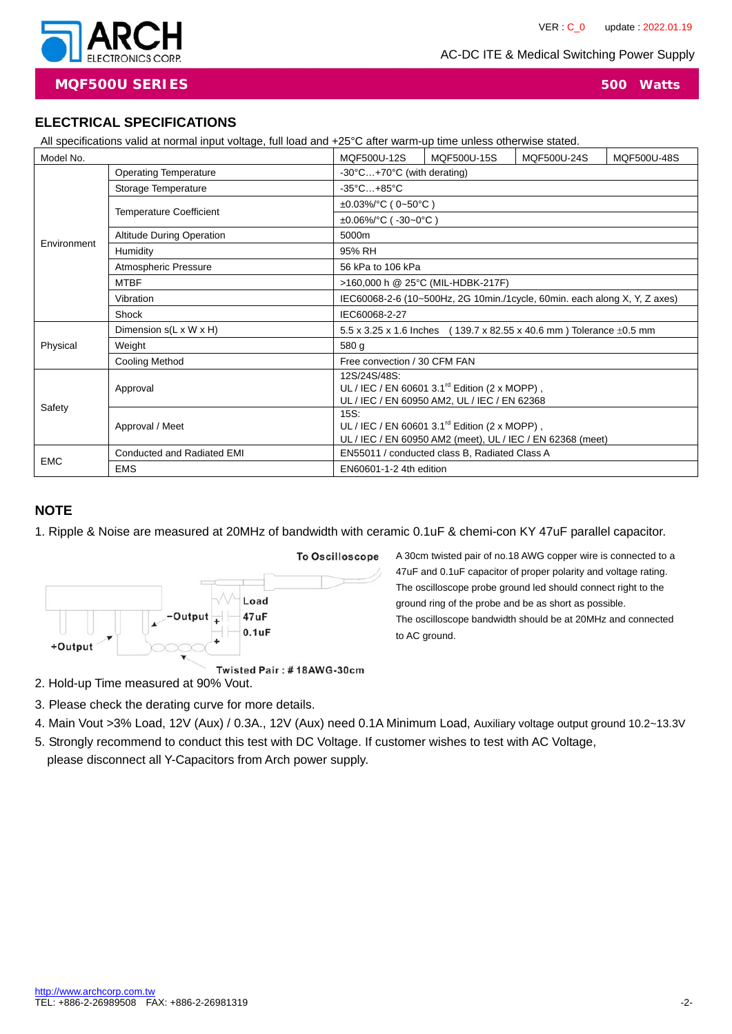

**MQF500U SERIES 500 Watts**

**ELECTRICAL SPECIFICATIONS** 

|             | ELECTRICAL SPECIFICATIONS                                                                                         |                                                                             |                                               |             |             |  |  |
|-------------|-------------------------------------------------------------------------------------------------------------------|-----------------------------------------------------------------------------|-----------------------------------------------|-------------|-------------|--|--|
|             | All specifications valid at normal input voltage, full load and +25°C after warm-up time unless otherwise stated. |                                                                             |                                               |             |             |  |  |
| Model No.   |                                                                                                                   | MQF500U-12S                                                                 | MQF500U-15S                                   | MQF500U-24S | MQF500U-48S |  |  |
|             | <b>Operating Temperature</b>                                                                                      | $-30^{\circ}$ C $+70^{\circ}$ C (with derating)                             |                                               |             |             |  |  |
|             | Storage Temperature                                                                                               | $-35^{\circ}$ C $+85^{\circ}$ C                                             |                                               |             |             |  |  |
|             |                                                                                                                   | $\pm 0.03\%$ /°C (0~50°C)                                                   |                                               |             |             |  |  |
|             | <b>Temperature Coefficient</b>                                                                                    | $\pm 0.06\%$ /°C (-30~0°C)                                                  |                                               |             |             |  |  |
|             | <b>Altitude During Operation</b>                                                                                  | 5000m                                                                       |                                               |             |             |  |  |
| Environment | Humidity                                                                                                          | 95% RH                                                                      |                                               |             |             |  |  |
|             | Atmospheric Pressure                                                                                              | 56 kPa to 106 kPa                                                           |                                               |             |             |  |  |
|             | <b>MTBF</b>                                                                                                       | >160,000 h @ 25°C (MIL-HDBK-217F)                                           |                                               |             |             |  |  |
|             | Vibration                                                                                                         | IEC60068-2-6 (10~500Hz, 2G 10min./1cycle, 60min. each along X, Y, Z axes)   |                                               |             |             |  |  |
|             | Shock                                                                                                             | IEC60068-2-27                                                               |                                               |             |             |  |  |
|             | Dimension $s(L \times W \times H)$                                                                                | (139.7 x 82.55 x 40.6 mm) Tolerance $\pm 0.5$ mm<br>5.5 x 3.25 x 1.6 Inches |                                               |             |             |  |  |
| Physical    | Weight                                                                                                            | 580 g                                                                       |                                               |             |             |  |  |
|             | <b>Cooling Method</b>                                                                                             | Free convection / 30 CFM FAN                                                |                                               |             |             |  |  |
|             |                                                                                                                   | 12S/24S/48S:                                                                |                                               |             |             |  |  |
|             | Approval                                                                                                          | UL / IEC / EN 60601 3.1 <sup>rd</sup> Edition (2 x MOPP),                   |                                               |             |             |  |  |
| Safety      |                                                                                                                   | UL / IEC / EN 60950 AM2, UL / IEC / EN 62368<br>15S:                        |                                               |             |             |  |  |
|             | Approval / Meet                                                                                                   | UL / IEC / EN 60601 3.1 <sup>rd</sup> Edition (2 x MOPP),                   |                                               |             |             |  |  |
|             |                                                                                                                   | UL / IEC / EN 60950 AM2 (meet), UL / IEC / EN 62368 (meet)                  |                                               |             |             |  |  |
| <b>EMC</b>  | Conducted and Radiated EMI                                                                                        |                                                                             | EN55011 / conducted class B, Radiated Class A |             |             |  |  |
|             | <b>EMS</b>                                                                                                        | EN60601-1-2 4th edition                                                     |                                               |             |             |  |  |

### **NOTE**

1. Ripple & Noise are measured at 20MHz of bandwidth with ceramic 0.1uF & chemi-con KY 47uF parallel capacitor.



A 30cm twisted pair of no.18 AWG copper wire is connected to a 47uF and 0.1uF capacitor of proper polarity and voltage rating. The oscilloscope probe ground led should connect right to the ground ring of the probe and be as short as possible. The oscilloscope bandwidth should be at 20MHz and connected to AC ground.

2. Hold-up Time measured at 90% Vout.

- 3. Please check the derating curve for more details.
- 4. Main Vout >3% Load, 12V (Aux) / 0.3A., 12V (Aux) need 0.1A Minimum Load, Auxiliary voltage output ground 10.2~13.3V
- 5. Strongly recommend to conduct this test with DC Voltage. If customer wishes to test with AC Voltage,

please disconnect all Y-Capacitors from Arch power supply.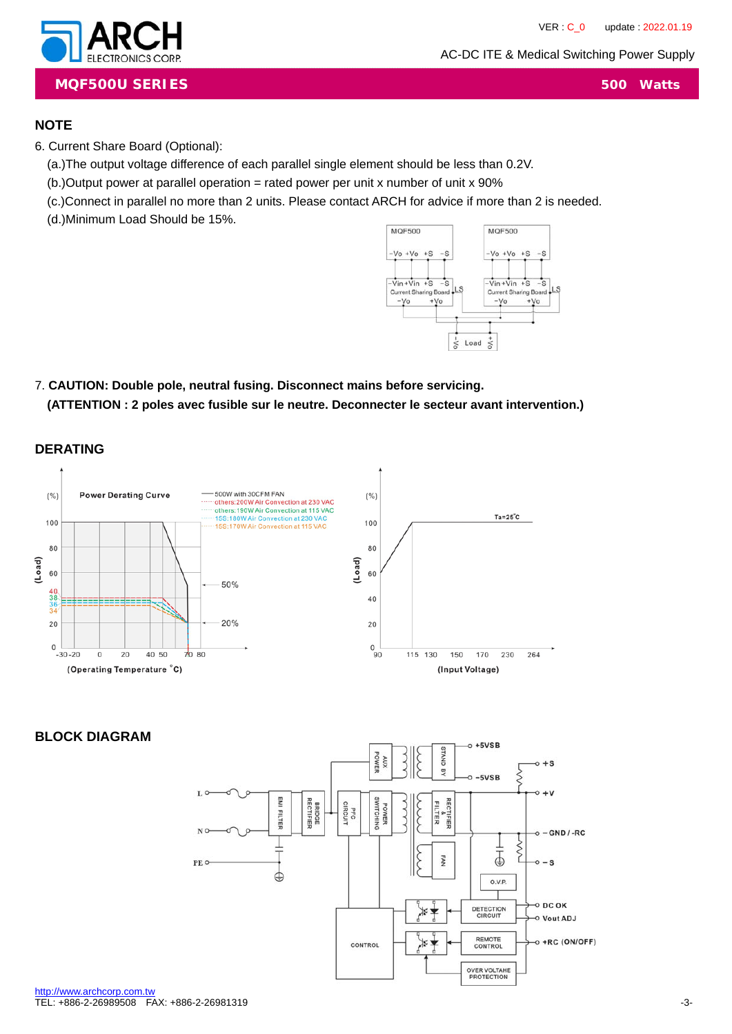

**MQF500U SERIES 500 Watts**

#### **NOTE**

6. Current Share Board (Optional):

(a.)The output voltage difference of each parallel single element should be less than 0.2V.

 $(b.)$ Output power at parallel operation = rated power per unit x number of unit x 90%

(c.)Connect in parallel no more than 2 units. Please contact ARCH for advice if more than 2 is needed.

(d.)Minimum Load Should be 15%.



# 7. **CAUTION: Double pole, neutral fusing. Disconnect mains before servicing. (ATTENTION : 2 poles avec fusible sur le neutre. Deconnecter le secteur avant intervention.)**

**DERATING**



## **BLOCK DIAGRAM**

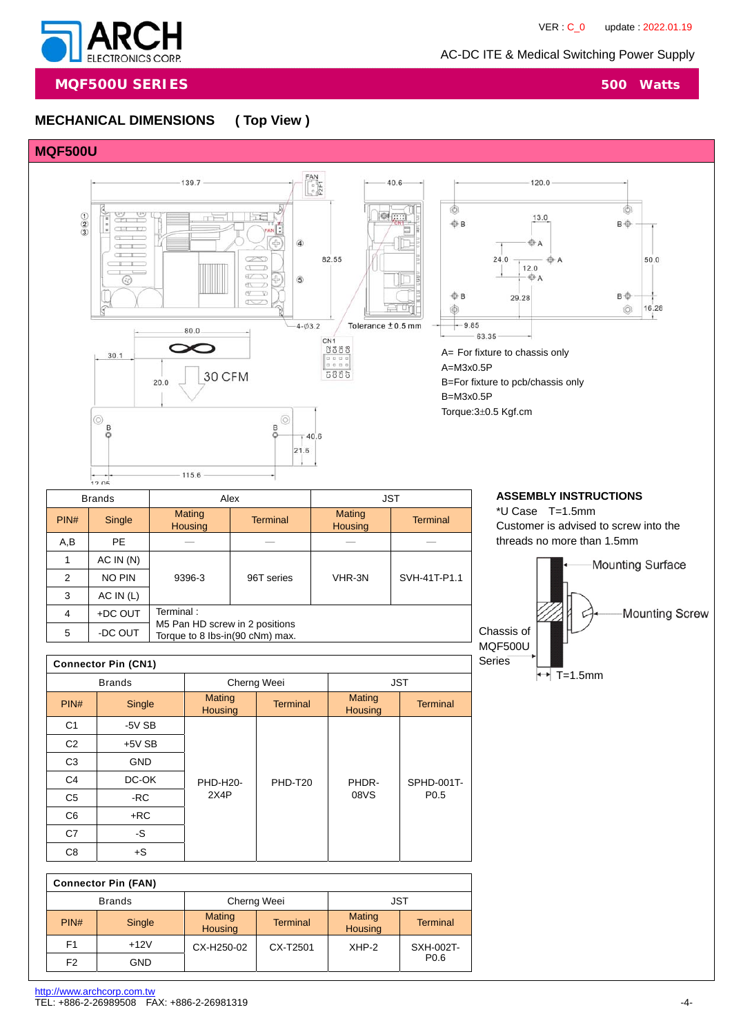

**MQF500U SERIES** 500 Watts

# **MECHANICAL DIMENSIONS ( Top View )**

#### **MQF500U**



|      | <b>Brands</b> | Alex                                                              |                 |                          | <b>JST</b>      |  |
|------|---------------|-------------------------------------------------------------------|-----------------|--------------------------|-----------------|--|
| PIN# | Single        | Mating<br><b>Housing</b>                                          | <b>Terminal</b> | Mating<br><b>Housing</b> | <b>Terminal</b> |  |
| A,B  | <b>PE</b>     |                                                                   |                 |                          |                 |  |
|      | AC IN(N)      |                                                                   |                 |                          |                 |  |
| 2    | NO PIN        | 9396-3                                                            | 96T series      | VHR-3N                   | SVH-41T-P1.1    |  |
| 3    | AC IN (L)     |                                                                   |                 |                          |                 |  |
| 4    | +DC OUT       | Terminal:                                                         |                 |                          |                 |  |
| 5    | -DC OUT       | M5 Pan HD screw in 2 positions<br>Torque to 8 lbs-in(90 cNm) max. |                 |                          |                 |  |

\*U Case T=1.5mm Customer is advised to screw into the threads no more than 1.5mm Mounting Surface Mounting Screw Chassis of

 $\rightarrow$  T=1.5mm

MQF500U

|                | <b>Connector Pin (CN1)</b> |                                 |                 |                                 |                  | <b>Series</b> |
|----------------|----------------------------|---------------------------------|-----------------|---------------------------------|------------------|---------------|
|                | <b>Brands</b>              |                                 | Cherng Weei     | <b>JST</b>                      |                  |               |
| PIN#           | Single                     | <b>Mating</b><br><b>Housing</b> | <b>Terminal</b> | <b>Mating</b><br><b>Housing</b> | <b>Terminal</b>  |               |
| C <sub>1</sub> | $-5V$ SB                   |                                 |                 |                                 |                  |               |
| C <sub>2</sub> | $+5VSB$                    |                                 |                 |                                 |                  |               |
| C <sub>3</sub> | <b>GND</b>                 |                                 |                 |                                 |                  |               |
| C <sub>4</sub> | DC-OK                      | <b>PHD-H20-</b>                 | PHD-T20         | PHDR-                           | SPHD-001T-       |               |
| C <sub>5</sub> | -RC                        | 2X4P                            |                 | 08VS                            | P <sub>0.5</sub> |               |
| C <sub>6</sub> | $+RC$                      |                                 |                 |                                 |                  |               |
| C7             | -S                         |                                 |                 |                                 |                  |               |
| C8             | $+S$                       |                                 |                 |                                 |                  |               |

| <b>Connector Pin (FAN)</b> |                              |                                 |                 |                          |                  |
|----------------------------|------------------------------|---------------------------------|-----------------|--------------------------|------------------|
|                            | Cherng Weei<br><b>Brands</b> |                                 |                 | <b>JST</b>               |                  |
| PIN#                       | Single                       | <b>Mating</b><br><b>Housing</b> | <b>Terminal</b> | Mating<br><b>Housing</b> | <b>Terminal</b>  |
| F <sub>1</sub>             | $+12V$                       | CX-H250-02                      | CX-T2501        | $XHP-2$                  | SXH-002T-        |
| F <sub>2</sub>             | GND                          |                                 |                 |                          | P <sub>0.6</sub> |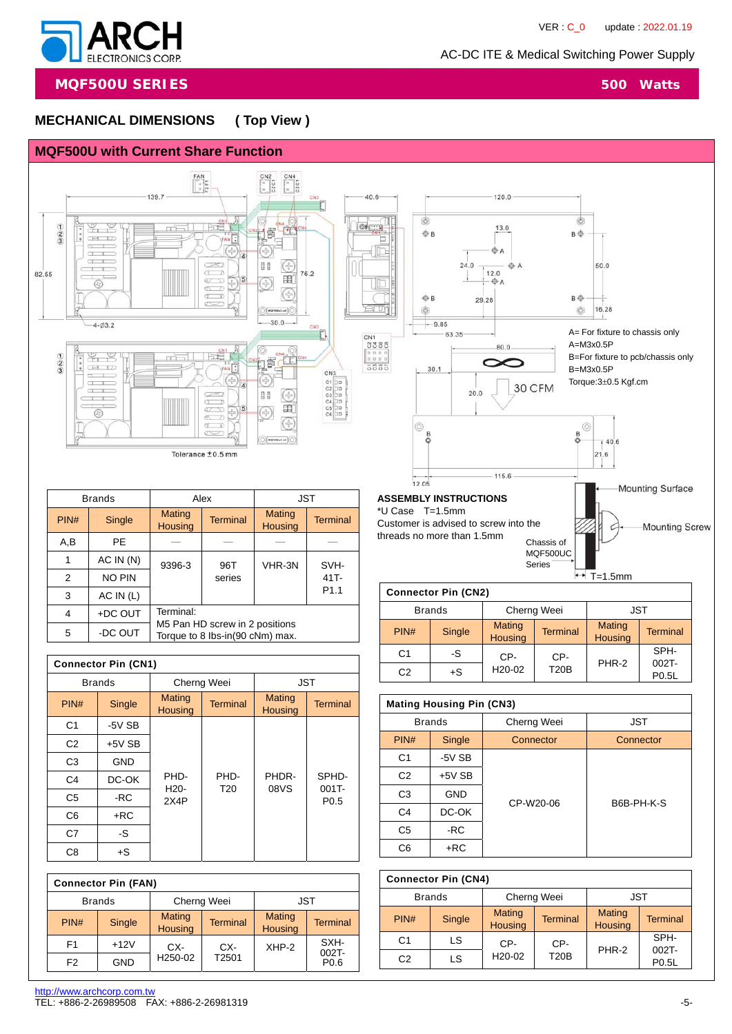

**MQF500U SERIES** 500 Watts

#### **MECHANICAL DIMENSIONS ( Top View )**



| 5                          | -DC OUT       | $1001$ and $10000$ and $112$ pooled its<br>Torque to 8 lbs-in(90 cNm) max. |                 |                          |                              |  |
|----------------------------|---------------|----------------------------------------------------------------------------|-----------------|--------------------------|------------------------------|--|
|                            |               |                                                                            |                 |                          |                              |  |
| <b>Connector Pin (CN1)</b> |               |                                                                            |                 |                          |                              |  |
|                            | <b>Brands</b> |                                                                            | Cherng Weei     | <b>JST</b>               |                              |  |
| PIN#                       | Single        | Mating<br><b>Housing</b>                                                   | <b>Terminal</b> | Mating<br><b>Housing</b> | <b>Terminal</b>              |  |
| C1                         | -5V SB        |                                                                            |                 |                          |                              |  |
| C <sub>2</sub>             | $+5V$ SB      |                                                                            |                 |                          |                              |  |
| C <sub>3</sub>             | <b>GND</b>    |                                                                            |                 |                          |                              |  |
| C4                         | DC-OK         | PHD-                                                                       | PHD-            | PHDR-                    | SPHD-                        |  |
| C <sub>5</sub>             | -RC           | H <sub>20</sub> -<br>2X4P                                                  | T <sub>20</sub> | 08VS                     | $001T -$<br>P <sub>0.5</sub> |  |
| C6                         | +RC           |                                                                            |                 |                          |                              |  |
| C7                         | -S            |                                                                            |                 |                          |                              |  |
| C8                         | $+S$          |                                                                            |                 |                          |                              |  |

|                | <b>Connector Pin (FAN)</b> |            |                                 |                 |                          |                  |
|----------------|----------------------------|------------|---------------------------------|-----------------|--------------------------|------------------|
|                | <b>Brands</b>              |            | Cherng Weei                     |                 | JST                      |                  |
| PIN#           |                            | Single     | <b>Mating</b><br><b>Housing</b> | <b>Terminal</b> | Mating<br><b>Housing</b> | <b>Terminal</b>  |
| F <sub>1</sub> |                            | $+12V$     | CX-                             | CX-             | XHP-2                    | SXH-<br>$002T -$ |
| F <sub>2</sub> |                            | <b>GND</b> | H <sub>250</sub> -02            | T2501           |                          | P <sub>0.6</sub> |

| <b>Mating Housing Pin (CN3)</b> |               |             |            |  |  |
|---------------------------------|---------------|-------------|------------|--|--|
|                                 | <b>Brands</b> | Cherng Weei | <b>JST</b> |  |  |
| PIN#                            | Single        | Connector   | Connector  |  |  |
| C <sub>1</sub>                  | $-5V$ SB      |             |            |  |  |
| C <sub>2</sub>                  | $+5V$ SB      |             |            |  |  |
| C <sub>3</sub>                  | <b>GND</b>    | CP-W20-06   | B6B-PH-K-S |  |  |
| C <sub>4</sub>                  | DC-OK         |             |            |  |  |
| C <sub>5</sub>                  | -RC           |             |            |  |  |
| C6                              | $+RC$         |             |            |  |  |
|                                 |               |             |            |  |  |

 $C2$   $+S$   $H20-02$   $120B$   $P0.5L$ 

CP-

 $T20B$  PHR-2

SPH-002T-

H20-02

C1 -S CP-

|                | <b>Connector Pin (CN4)</b> |                          |                 |                   |                   |
|----------------|----------------------------|--------------------------|-----------------|-------------------|-------------------|
|                | <b>Brands</b>              | Cherng Weei              |                 | <b>JST</b>        |                   |
| PIN#           | Single                     | Mating<br><b>Housing</b> | <b>Terminal</b> | Mating<br>Housing | <b>Terminal</b>   |
| C <sub>1</sub> | LS                         | CP-                      | CP-             |                   | SPH-              |
| C <sub>2</sub> | LS                         | H <sub>20</sub> -02      | <b>T20B</b>     | PHR-2             | $002T -$<br>P0.5L |